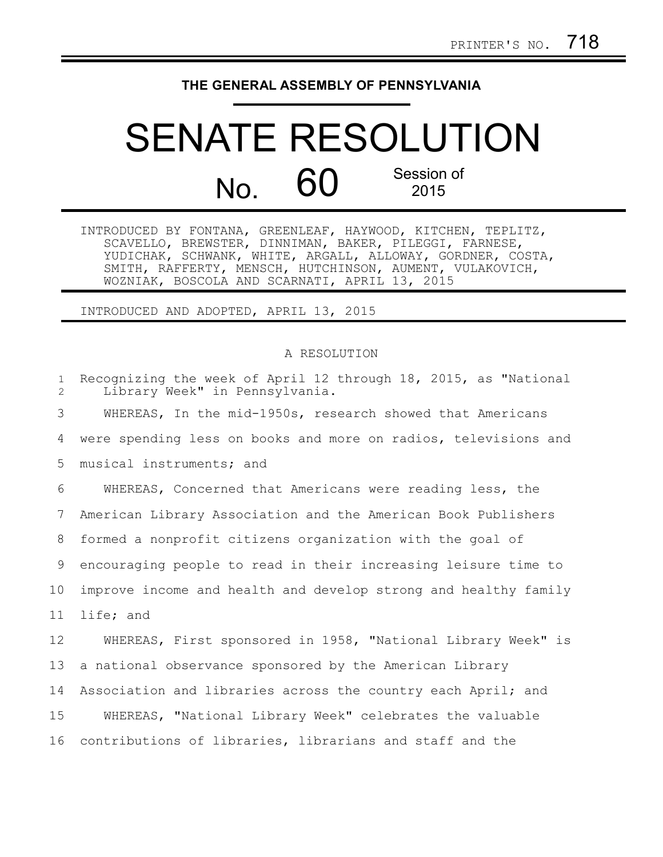## **THE GENERAL ASSEMBLY OF PENNSYLVANIA**

## SENATE RESOLUTION No. 60 Session of 2015

INTRODUCED BY FONTANA, GREENLEAF, HAYWOOD, KITCHEN, TEPLITZ, SCAVELLO, BREWSTER, DINNIMAN, BAKER, PILEGGI, FARNESE, YUDICHAK, SCHWANK, WHITE, ARGALL, ALLOWAY, GORDNER, COSTA, SMITH, RAFFERTY, MENSCH, HUTCHINSON, AUMENT, VULAKOVICH, WOZNIAK, BOSCOLA AND SCARNATI, APRIL 13, 2015

INTRODUCED AND ADOPTED, APRIL 13, 2015

## A RESOLUTION

| $\mathbf{1}$<br>2 | Recognizing the week of April 12 through 18, 2015, as "National<br>Library Week" in Pennsylvania. |
|-------------------|---------------------------------------------------------------------------------------------------|
| 3                 | WHEREAS, In the mid-1950s, research showed that Americans                                         |
| 4                 | were spending less on books and more on radios, televisions and                                   |
| 5                 | musical instruments; and                                                                          |
| 6                 | WHEREAS, Concerned that Americans were reading less, the                                          |
| 7                 | American Library Association and the American Book Publishers                                     |
| 8                 | formed a nonprofit citizens organization with the goal of                                         |
| 9                 | encouraging people to read in their increasing leisure time to                                    |
| 10                | improve income and health and develop strong and healthy family                                   |
| 11                | life; and                                                                                         |
| 12                | WHEREAS, First sponsored in 1958, "National Library Week" is                                      |
| 13                | a national observance sponsored by the American Library                                           |
| 14                | Association and libraries across the country each April; and                                      |
| 15                | WHEREAS, "National Library Week" celebrates the valuable                                          |
| 16                | contributions of libraries, librarians and staff and the                                          |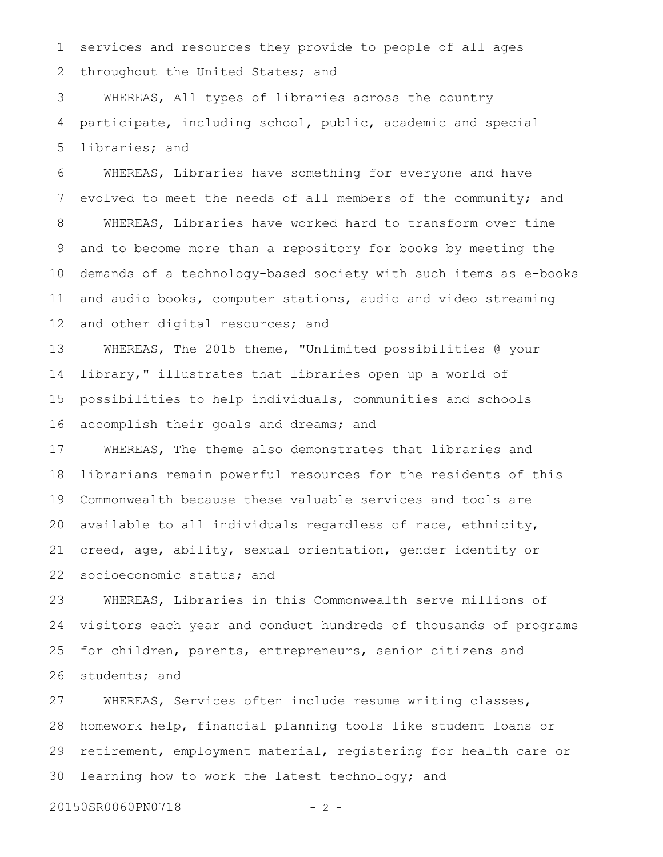services and resources they provide to people of all ages throughout the United States; and 1 2

WHEREAS, All types of libraries across the country participate, including school, public, academic and special libraries; and 3 4 5

WHEREAS, Libraries have something for everyone and have evolved to meet the needs of all members of the community; and WHEREAS, Libraries have worked hard to transform over time and to become more than a repository for books by meeting the demands of a technology-based society with such items as e-books and audio books, computer stations, audio and video streaming and other digital resources; and 6 7 8 9 10 11 12

WHEREAS, The 2015 theme, "Unlimited possibilities @ your library," illustrates that libraries open up a world of possibilities to help individuals, communities and schools accomplish their goals and dreams; and 13 14 15 16

WHEREAS, The theme also demonstrates that libraries and librarians remain powerful resources for the residents of this Commonwealth because these valuable services and tools are available to all individuals regardless of race, ethnicity, creed, age, ability, sexual orientation, gender identity or socioeconomic status; and 17 18 19 20 21 22

WHEREAS, Libraries in this Commonwealth serve millions of visitors each year and conduct hundreds of thousands of programs for children, parents, entrepreneurs, senior citizens and students; and 23 24 25 26

WHEREAS, Services often include resume writing classes, homework help, financial planning tools like student loans or retirement, employment material, registering for health care or learning how to work the latest technology; and 27 28 29 30

20150SR0060PN0718 - 2 -